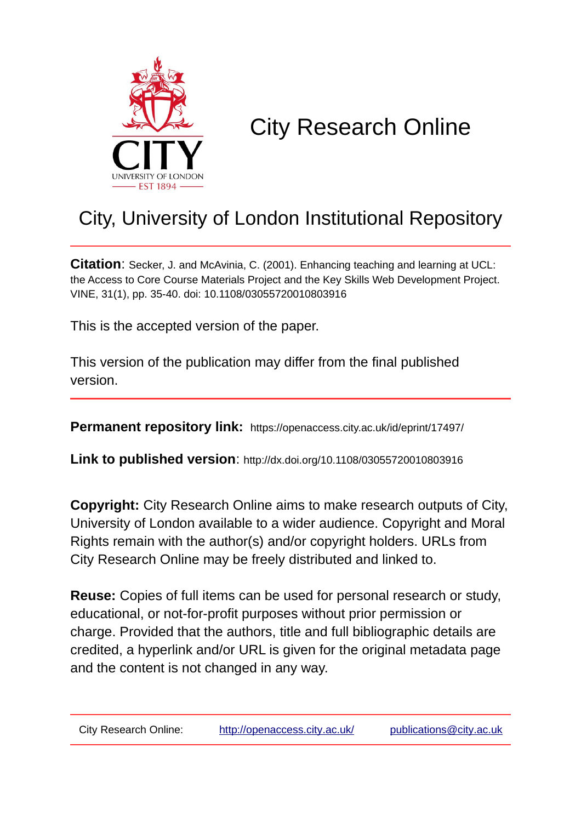

# City Research Online

## City, University of London Institutional Repository

**Citation**: Secker, J. and McAvinia, C. (2001). Enhancing teaching and learning at UCL: the Access to Core Course Materials Project and the Key Skills Web Development Project. VINE, 31(1), pp. 35-40. doi: 10.1108/03055720010803916

This is the accepted version of the paper.

This version of the publication may differ from the final published version.

**Permanent repository link:** https://openaccess.city.ac.uk/id/eprint/17497/

**Link to published version**: http://dx.doi.org/10.1108/03055720010803916

**Copyright:** City Research Online aims to make research outputs of City, University of London available to a wider audience. Copyright and Moral Rights remain with the author(s) and/or copyright holders. URLs from City Research Online may be freely distributed and linked to.

**Reuse:** Copies of full items can be used for personal research or study, educational, or not-for-profit purposes without prior permission or charge. Provided that the authors, title and full bibliographic details are credited, a hyperlink and/or URL is given for the original metadata page and the content is not changed in any way.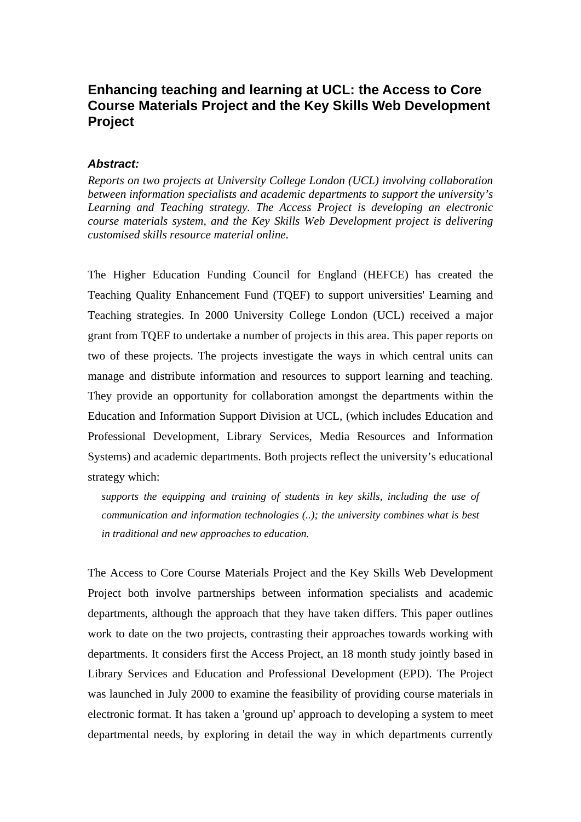### **Enhancing teaching and learning at UCL: the Access to Core Course Materials Project and the Key Skills Web Development Project**

#### *Abstract:*

*Reports on two projects at University College London (UCL) involving collaboration between information specialists and academic departments to support the university's Learning and Teaching strategy. The Access Project is developing an electronic course materials system, and the Key Skills Web Development project is delivering customised skills resource material online.* 

The Higher Education Funding Council for England (HEFCE) has created the Teaching Quality Enhancement Fund (TQEF) to support universities' Learning and Teaching strategies. In 2000 University College London (UCL) received a major grant from TQEF to undertake a number of projects in this area. This paper reports on two of these projects. The projects investigate the ways in which central units can manage and distribute information and resources to support learning and teaching. They provide an opportunity for collaboration amongst the departments within the Education and Information Support Division at UCL, (which includes Education and Professional Development, Library Services, Media Resources and Information Systems) and academic departments. Both projects reflect the university's educational strategy which:

*supports the equipping and training of students in key skills, including the use of communication and information technologies (..); the university combines what is best in traditional and new approaches to education.*

The Access to Core Course Materials Project and the Key Skills Web Development Project both involve partnerships between information specialists and academic departments, although the approach that they have taken differs. This paper outlines work to date on the two projects, contrasting their approaches towards working with departments. It considers first the Access Project, an 18 month study jointly based in Library Services and Education and Professional Development (EPD). The Project was launched in July 2000 to examine the feasibility of providing course materials in electronic format. It has taken a 'ground up' approach to developing a system to meet departmental needs, by exploring in detail the way in which departments currently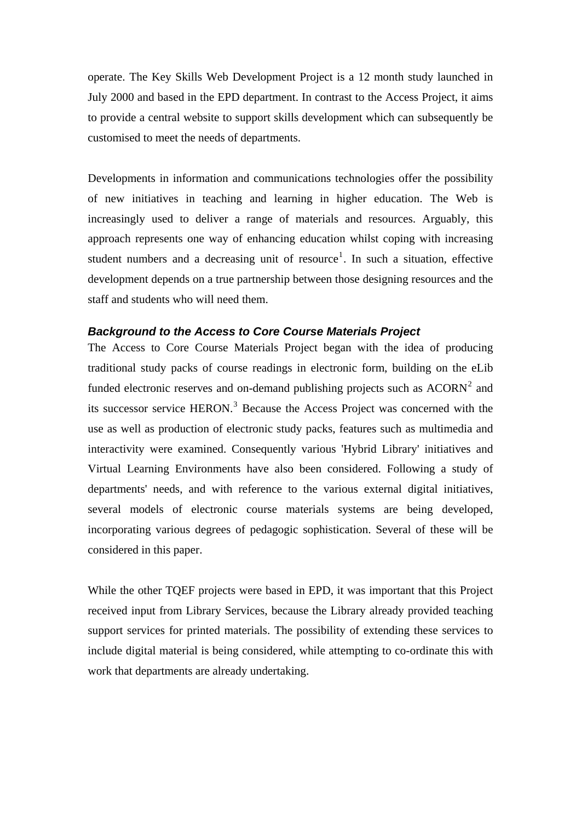operate. The Key Skills Web Development Project is a 12 month study launched in July 2000 and based in the EPD department. In contrast to the Access Project, it aims to provide a central website to support skills development which can subsequently be customised to meet the needs of departments.

Developments in information and communications technologies offer the possibility of new initiatives in teaching and learning in higher education. The Web is increasingly used to deliver a range of materials and resources. Arguably, this approach represents one way of enhancing education whilst coping with increasing student numbers and a decreasing unit of resource<sup>[1](#page-11-0)</sup>. In such a situation, effective development depends on a true partnership between those designing resources and the staff and students who will need them.

#### *Background to the Access to Core Course Materials Project*

The Access to Core Course Materials Project began with the idea of producing traditional study packs of course readings in electronic form, building on the eLib funded electronic reserves and on-demand publishing projects such as  $ACORN<sup>2</sup>$  $ACORN<sup>2</sup>$  $ACORN<sup>2</sup>$  and its successor service  $HERON$ <sup>[3](#page-11-1)</sup> Because the Access Project was concerned with the use as well as production of electronic study packs, features such as multimedia and interactivity were examined. Consequently various 'Hybrid Library' initiatives and Virtual Learning Environments have also been considered. Following a study of departments' needs, and with reference to the various external digital initiatives, several models of electronic course materials systems are being developed, incorporating various degrees of pedagogic sophistication. Several of these will be considered in this paper.

While the other TQEF projects were based in EPD, it was important that this Project received input from Library Services, because the Library already provided teaching support services for printed materials. The possibility of extending these services to include digital material is being considered, while attempting to co-ordinate this with work that departments are already undertaking.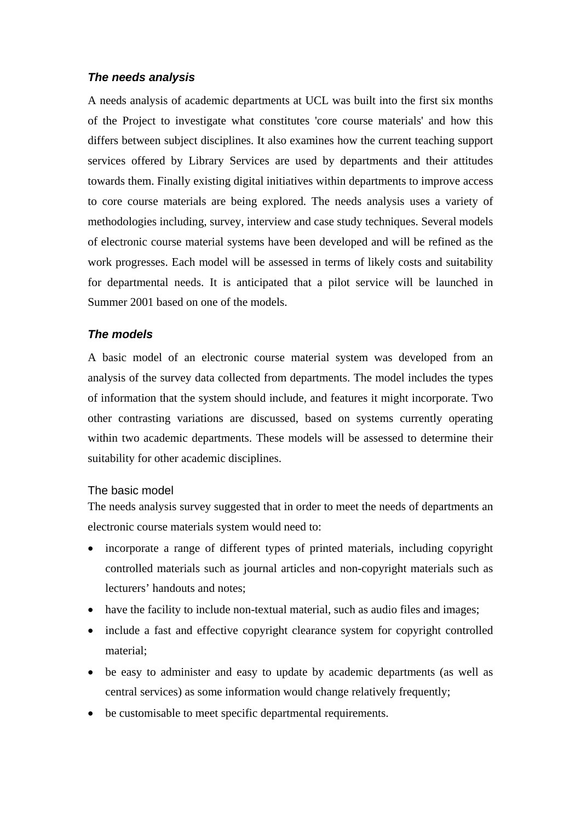#### *The needs analysis*

A needs analysis of academic departments at UCL was built into the first six months of the Project to investigate what constitutes 'core course materials' and how this differs between subject disciplines. It also examines how the current teaching support services offered by Library Services are used by departments and their attitudes towards them. Finally existing digital initiatives within departments to improve access to core course materials are being explored. The needs analysis uses a variety of methodologies including, survey, interview and case study techniques. Several models of electronic course material systems have been developed and will be refined as the work progresses. Each model will be assessed in terms of likely costs and suitability for departmental needs. It is anticipated that a pilot service will be launched in Summer 2001 based on one of the models.

#### *The models*

A basic model of an electronic course material system was developed from an analysis of the survey data collected from departments. The model includes the types of information that the system should include, and features it might incorporate. Two other contrasting variations are discussed, based on systems currently operating within two academic departments. These models will be assessed to determine their suitability for other academic disciplines.

#### The basic model

The needs analysis survey suggested that in order to meet the needs of departments an electronic course materials system would need to:

- incorporate a range of different types of printed materials, including copyright controlled materials such as journal articles and non-copyright materials such as lecturers' handouts and notes;
- have the facility to include non-textual material, such as audio files and images;
- include a fast and effective copyright clearance system for copyright controlled material;
- be easy to administer and easy to update by academic departments (as well as central services) as some information would change relatively frequently;
- be customisable to meet specific departmental requirements.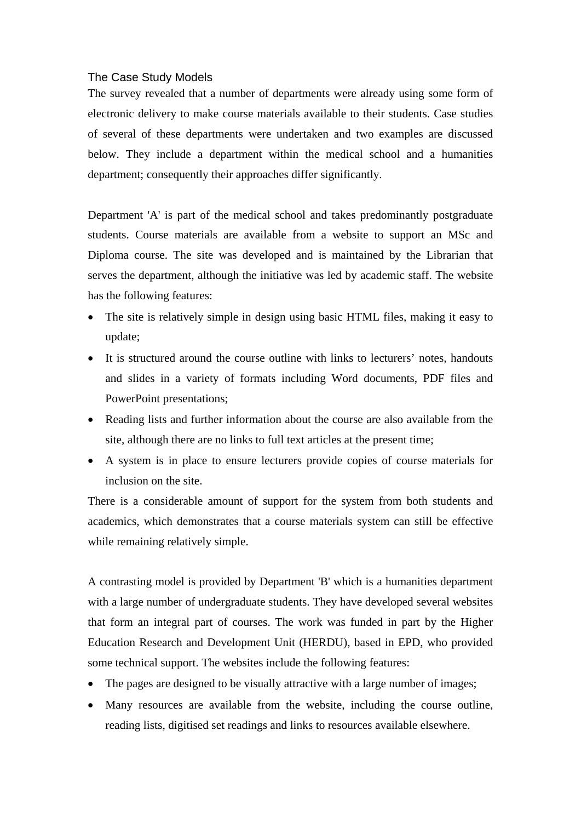#### The Case Study Models

The survey revealed that a number of departments were already using some form of electronic delivery to make course materials available to their students. Case studies of several of these departments were undertaken and two examples are discussed below. They include a department within the medical school and a humanities department; consequently their approaches differ significantly.

Department 'A' is part of the medical school and takes predominantly postgraduate students. Course materials are available from a website to support an MSc and Diploma course. The site was developed and is maintained by the Librarian that serves the department, although the initiative was led by academic staff. The website has the following features:

- The site is relatively simple in design using basic HTML files, making it easy to update;
- It is structured around the course outline with links to lecturers' notes, handouts and slides in a variety of formats including Word documents, PDF files and PowerPoint presentations;
- Reading lists and further information about the course are also available from the site, although there are no links to full text articles at the present time;
- A system is in place to ensure lecturers provide copies of course materials for inclusion on the site.

There is a considerable amount of support for the system from both students and academics, which demonstrates that a course materials system can still be effective while remaining relatively simple.

A contrasting model is provided by Department 'B' which is a humanities department with a large number of undergraduate students. They have developed several websites that form an integral part of courses. The work was funded in part by the Higher Education Research and Development Unit (HERDU), based in EPD, who provided some technical support. The websites include the following features:

- The pages are designed to be visually attractive with a large number of images;
- Many resources are available from the website, including the course outline, reading lists, digitised set readings and links to resources available elsewhere.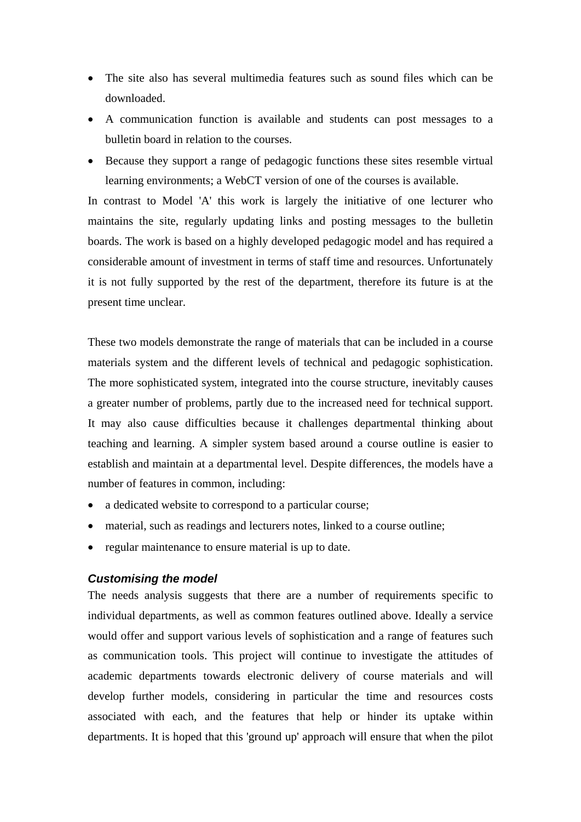- The site also has several multimedia features such as sound files which can be downloaded.
- A communication function is available and students can post messages to a bulletin board in relation to the courses.
- Because they support a range of pedagogic functions these sites resemble virtual learning environments; a WebCT version of one of the courses is available.

In contrast to Model 'A' this work is largely the initiative of one lecturer who maintains the site, regularly updating links and posting messages to the bulletin boards. The work is based on a highly developed pedagogic model and has required a considerable amount of investment in terms of staff time and resources. Unfortunately it is not fully supported by the rest of the department, therefore its future is at the present time unclear.

These two models demonstrate the range of materials that can be included in a course materials system and the different levels of technical and pedagogic sophistication. The more sophisticated system, integrated into the course structure, inevitably causes a greater number of problems, partly due to the increased need for technical support. It may also cause difficulties because it challenges departmental thinking about teaching and learning. A simpler system based around a course outline is easier to establish and maintain at a departmental level. Despite differences, the models have a number of features in common, including:

- a dedicated website to correspond to a particular course;
- material, such as readings and lecturers notes, linked to a course outline;
- regular maintenance to ensure material is up to date.

#### *Customising the model*

The needs analysis suggests that there are a number of requirements specific to individual departments, as well as common features outlined above. Ideally a service would offer and support various levels of sophistication and a range of features such as communication tools. This project will continue to investigate the attitudes of academic departments towards electronic delivery of course materials and will develop further models, considering in particular the time and resources costs associated with each, and the features that help or hinder its uptake within departments. It is hoped that this 'ground up' approach will ensure that when the pilot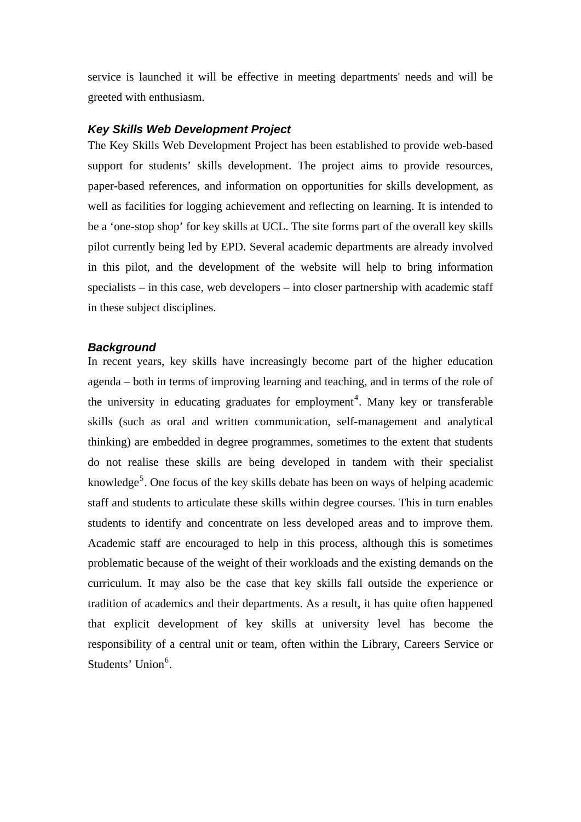service is launched it will be effective in meeting departments' needs and will be greeted with enthusiasm.

#### *Key Skills Web Development Project*

The Key Skills Web Development Project has been established to provide web-based support for students' skills development. The project aims to provide resources, paper-based references, and information on opportunities for skills development, as well as facilities for logging achievement and reflecting on learning. It is intended to be a 'one-stop shop' for key skills at UCL. The site forms part of the overall key skills pilot currently being led by EPD. Several academic departments are already involved in this pilot, and the development of the website will help to bring information specialists – in this case, web developers – into closer partnership with academic staff in these subject disciplines.

#### *Background*

In recent years, key skills have increasingly become part of the higher education agenda – both in terms of improving learning and teaching, and in terms of the role of the university in educating graduates for employment<sup>[4](#page-11-1)</sup>. Many key or transferable skills (such as oral and written communication, self-management and analytical thinking) are embedded in degree programmes, sometimes to the extent that students do not realise these skills are being developed in tandem with their specialist knowledge<sup>[5](#page-11-1)</sup>. One focus of the key skills debate has been on ways of helping academic staff and students to articulate these skills within degree courses. This in turn enables students to identify and concentrate on less developed areas and to improve them. Academic staff are encouraged to help in this process, although this is sometimes problematic because of the weight of their workloads and the existing demands on the curriculum. It may also be the case that key skills fall outside the experience or tradition of academics and their departments. As a result, it has quite often happened that explicit development of key skills at university level has become the responsibility of a central unit or team, often within the Library, Careers Service or Students' Union<sup>[6](#page-11-1)</sup>.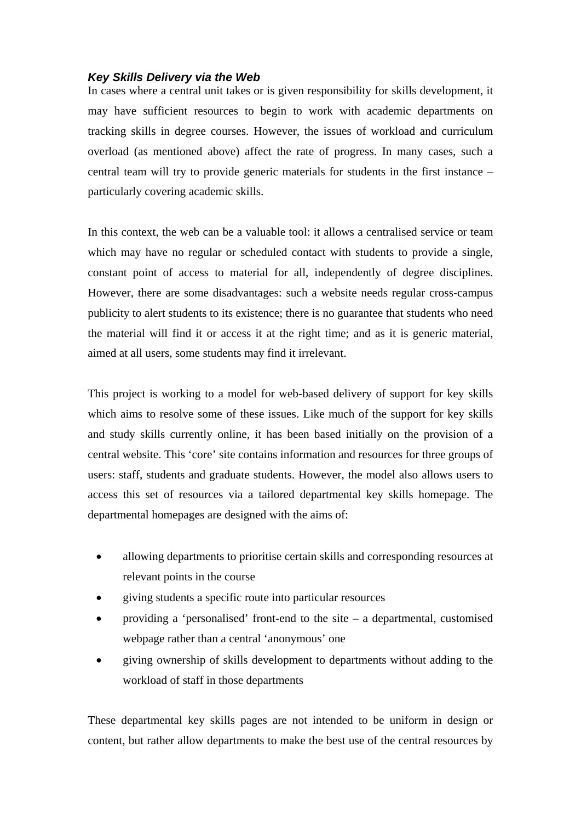#### *Key Skills Delivery via the Web*

In cases where a central unit takes or is given responsibility for skills development, it may have sufficient resources to begin to work with academic departments on tracking skills in degree courses. However, the issues of workload and curriculum overload (as mentioned above) affect the rate of progress. In many cases, such a central team will try to provide generic materials for students in the first instance – particularly covering academic skills.

In this context, the web can be a valuable tool: it allows a centralised service or team which may have no regular or scheduled contact with students to provide a single, constant point of access to material for all, independently of degree disciplines. However, there are some disadvantages: such a website needs regular cross-campus publicity to alert students to its existence; there is no guarantee that students who need the material will find it or access it at the right time; and as it is generic material, aimed at all users, some students may find it irrelevant.

This project is working to a model for web-based delivery of support for key skills which aims to resolve some of these issues. Like much of the support for key skills and study skills currently online, it has been based initially on the provision of a central website. This 'core' site contains information and resources for three groups of users: staff, students and graduate students. However, the model also allows users to access this set of resources via a tailored departmental key skills homepage. The departmental homepages are designed with the aims of:

- allowing departments to prioritise certain skills and corresponding resources at relevant points in the course
- giving students a specific route into particular resources
- providing a 'personalised' front-end to the site  $-$  a departmental, customised webpage rather than a central 'anonymous' one
- giving ownership of skills development to departments without adding to the workload of staff in those departments

These departmental key skills pages are not intended to be uniform in design or content, but rather allow departments to make the best use of the central resources by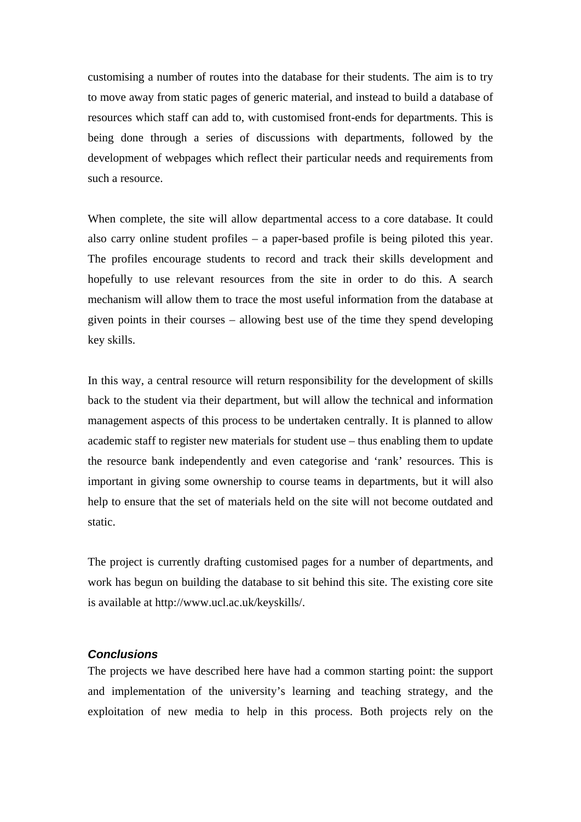customising a number of routes into the database for their students. The aim is to try to move away from static pages of generic material, and instead to build a database of resources which staff can add to, with customised front-ends for departments. This is being done through a series of discussions with departments, followed by the development of webpages which reflect their particular needs and requirements from such a resource.

When complete, the site will allow departmental access to a core database. It could also carry online student profiles – a paper-based profile is being piloted this year. The profiles encourage students to record and track their skills development and hopefully to use relevant resources from the site in order to do this. A search mechanism will allow them to trace the most useful information from the database at given points in their courses – allowing best use of the time they spend developing key skills.

In this way, a central resource will return responsibility for the development of skills back to the student via their department, but will allow the technical and information management aspects of this process to be undertaken centrally. It is planned to allow academic staff to register new materials for student use – thus enabling them to update the resource bank independently and even categorise and 'rank' resources. This is important in giving some ownership to course teams in departments, but it will also help to ensure that the set of materials held on the site will not become outdated and static.

The project is currently drafting customised pages for a number of departments, and work has begun on building the database to sit behind this site. The existing core site is available at http://www.ucl.ac.uk/keyskills/.

#### *Conclusions*

The projects we have described here have had a common starting point: the support and implementation of the university's learning and teaching strategy, and the exploitation of new media to help in this process. Both projects rely on the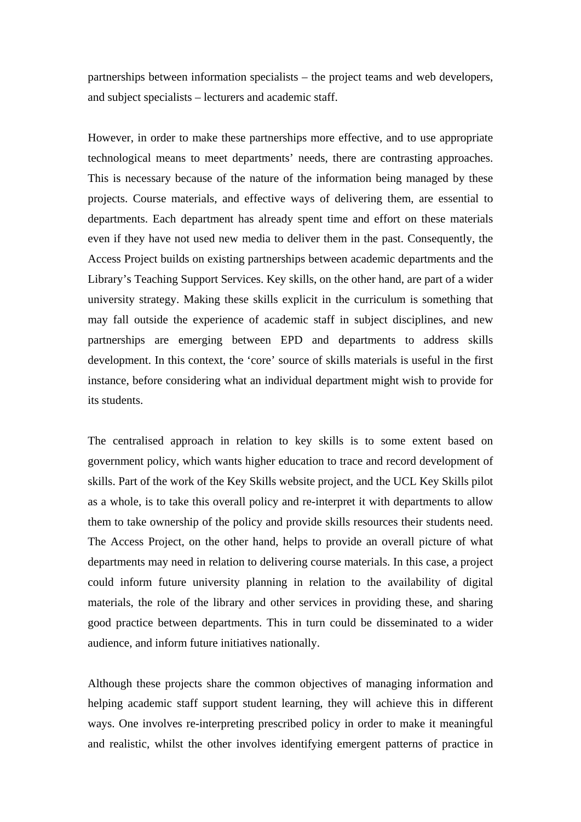partnerships between information specialists – the project teams and web developers, and subject specialists – lecturers and academic staff.

However, in order to make these partnerships more effective, and to use appropriate technological means to meet departments' needs, there are contrasting approaches. This is necessary because of the nature of the information being managed by these projects. Course materials, and effective ways of delivering them, are essential to departments. Each department has already spent time and effort on these materials even if they have not used new media to deliver them in the past. Consequently, the Access Project builds on existing partnerships between academic departments and the Library's Teaching Support Services. Key skills, on the other hand, are part of a wider university strategy. Making these skills explicit in the curriculum is something that may fall outside the experience of academic staff in subject disciplines, and new partnerships are emerging between EPD and departments to address skills development. In this context, the 'core' source of skills materials is useful in the first instance, before considering what an individual department might wish to provide for its students.

The centralised approach in relation to key skills is to some extent based on government policy, which wants higher education to trace and record development of skills. Part of the work of the Key Skills website project, and the UCL Key Skills pilot as a whole, is to take this overall policy and re-interpret it with departments to allow them to take ownership of the policy and provide skills resources their students need. The Access Project, on the other hand, helps to provide an overall picture of what departments may need in relation to delivering course materials. In this case, a project could inform future university planning in relation to the availability of digital materials, the role of the library and other services in providing these, and sharing good practice between departments. This in turn could be disseminated to a wider audience, and inform future initiatives nationally.

Although these projects share the common objectives of managing information and helping academic staff support student learning, they will achieve this in different ways. One involves re-interpreting prescribed policy in order to make it meaningful and realistic, whilst the other involves identifying emergent patterns of practice in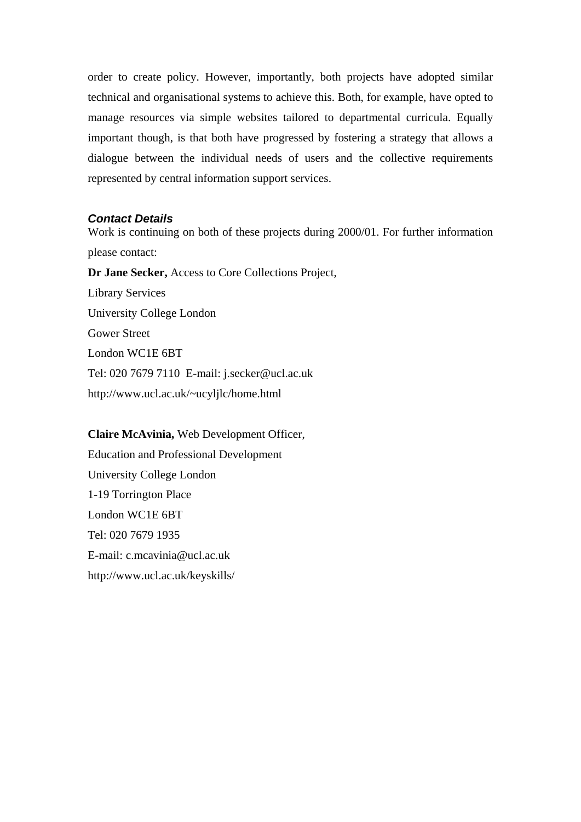order to create policy. However, importantly, both projects have adopted similar technical and organisational systems to achieve this. Both, for example, have opted to manage resources via simple websites tailored to departmental curricula. Equally important though, is that both have progressed by fostering a strategy that allows a dialogue between the individual needs of users and the collective requirements represented by central information support services.

#### *Contact Details*

Work is continuing on both of these projects during 2000/01. For further information please contact:

**Dr Jane Secker,** Access to Core Collections Project, Library Services University College London Gower Street London WC1E 6BT Tel: 020 7679 7110 E-mail: j.secker@ucl.ac.uk http://www.ucl.ac.uk/~ucyljlc/home.html

#### **Claire McAvinia,** Web Development Officer,

Education and Professional Development University College London 1-19 Torrington Place London WC1E 6BT Tel: 020 7679 1935 E-mail: c.mcavinia@ucl.ac.uk http://www.ucl.ac.uk/keyskills/